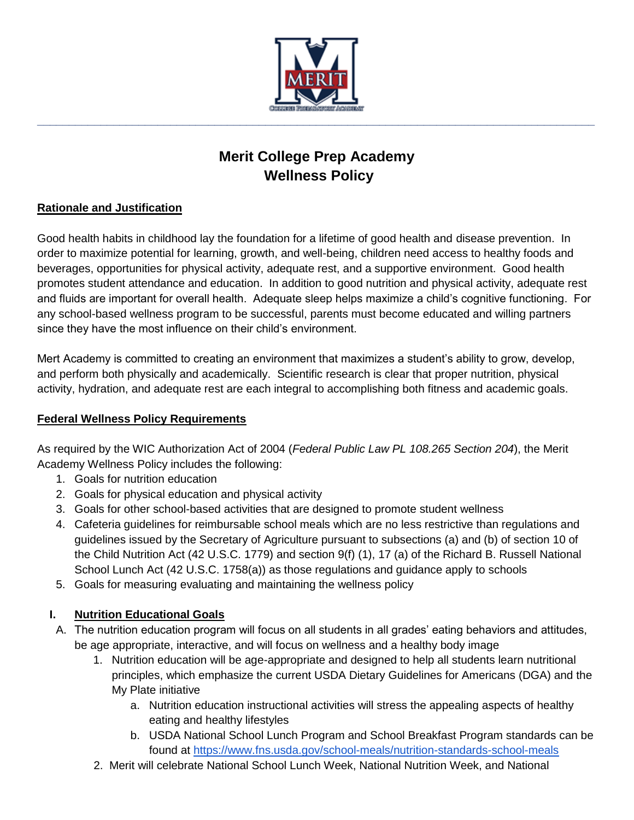

# **Merit College Prep Academy Wellness Policy**

### **Rationale and Justification**

Good health habits in childhood lay the foundation for a lifetime of good health and disease prevention. In order to maximize potential for learning, growth, and well-being, children need access to healthy foods and beverages, opportunities for physical activity, adequate rest, and a supportive environment. Good health promotes student attendance and education. In addition to good nutrition and physical activity, adequate rest and fluids are important for overall health. Adequate sleep helps maximize a child's cognitive functioning. For any school-based wellness program to be successful, parents must become educated and willing partners since they have the most influence on their child's environment.

Mert Academy is committed to creating an environment that maximizes a student's ability to grow, develop, and perform both physically and academically. Scientific research is clear that proper nutrition, physical activity, hydration, and adequate rest are each integral to accomplishing both fitness and academic goals.

#### **Federal Wellness Policy Requirements**

As required by the WIC Authorization Act of 2004 (*Federal Public Law PL 108.265 Section 204*), the Merit Academy Wellness Policy includes the following:

- 1. Goals for nutrition education
- 2. Goals for physical education and physical activity
- 3. Goals for other school-based activities that are designed to promote student wellness
- 4. Cafeteria guidelines for reimbursable school meals which are no less restrictive than regulations and guidelines issued by the Secretary of Agriculture pursuant to subsections (a) and (b) of section 10 of the Child Nutrition Act (42 U.S.C. 1779) and section 9(f) (1), 17 (a) of the Richard B. Russell National School Lunch Act (42 U.S.C. 1758(a)) as those regulations and guidance apply to schools
- 5. Goals for measuring evaluating and maintaining the wellness policy

## **I. Nutrition Educational Goals**

- A. The nutrition education program will focus on all students in all grades' eating behaviors and attitudes, be age appropriate, interactive, and will focus on wellness and a healthy body image
	- 1. Nutrition education will be age-appropriate and designed to help all students learn nutritional principles, which emphasize the current USDA Dietary Guidelines for Americans (DGA) and the My Plate initiative
		- a. Nutrition education instructional activities will stress the appealing aspects of healthy eating and healthy lifestyles
		- b. USDA National School Lunch Program and School Breakfast Program standards can be found at<https://www.fns.usda.gov/school-meals/nutrition-standards-school-meals>
	- 2. Merit will celebrate National School Lunch Week, National Nutrition Week, and National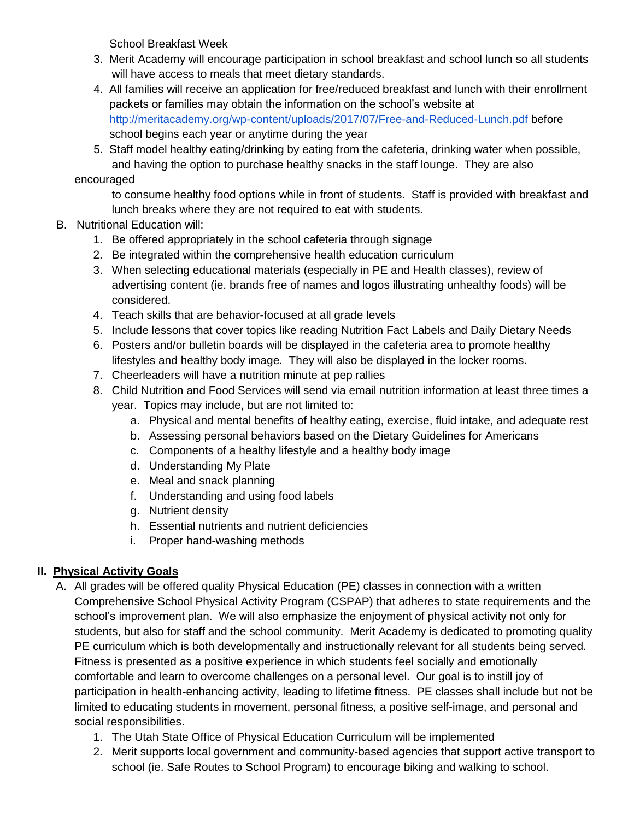School Breakfast Week

- 3. Merit Academy will encourage participation in school breakfast and school lunch so all students will have access to meals that meet dietary standards.
- 4. All families will receive an application for free/reduced breakfast and lunch with their enrollment packets or families may obtain the information on the school's website at <http://meritacademy.org/wp-content/uploads/2017/07/Free-and-Reduced-Lunch.pdf> before school begins each year or anytime during the year
- 5. Staff model healthy eating/drinking by eating from the cafeteria, drinking water when possible, and having the option to purchase healthy snacks in the staff lounge. They are also

encouraged

to consume healthy food options while in front of students. Staff is provided with breakfast and lunch breaks where they are not required to eat with students.

- B. Nutritional Education will:
	- 1. Be offered appropriately in the school cafeteria through signage
	- 2. Be integrated within the comprehensive health education curriculum
	- 3. When selecting educational materials (especially in PE and Health classes), review of advertising content (ie. brands free of names and logos illustrating unhealthy foods) will be considered.
	- 4. Teach skills that are behavior-focused at all grade levels
	- 5. Include lessons that cover topics like reading Nutrition Fact Labels and Daily Dietary Needs
	- 6. Posters and/or bulletin boards will be displayed in the cafeteria area to promote healthy lifestyles and healthy body image. They will also be displayed in the locker rooms.
	- 7. Cheerleaders will have a nutrition minute at pep rallies
	- 8. Child Nutrition and Food Services will send via email nutrition information at least three times a year. Topics may include, but are not limited to:
		- a. Physical and mental benefits of healthy eating, exercise, fluid intake, and adequate rest
		- b. Assessing personal behaviors based on the Dietary Guidelines for Americans
		- c. Components of a healthy lifestyle and a healthy body image
		- d. Understanding My Plate
		- e. Meal and snack planning
		- f. Understanding and using food labels
		- g. Nutrient density
		- h. Essential nutrients and nutrient deficiencies
		- i. Proper hand-washing methods

#### **II. Physical Activity Goals**

- A. All grades will be offered quality Physical Education (PE) classes in connection with a written Comprehensive School Physical Activity Program (CSPAP) that adheres to state requirements and the school's improvement plan. We will also emphasize the enjoyment of physical activity not only for students, but also for staff and the school community. Merit Academy is dedicated to promoting quality PE curriculum which is both developmentally and instructionally relevant for all students being served. Fitness is presented as a positive experience in which students feel socially and emotionally comfortable and learn to overcome challenges on a personal level. Our goal is to instill joy of participation in health-enhancing activity, leading to lifetime fitness. PE classes shall include but not be limited to educating students in movement, personal fitness, a positive self-image, and personal and social responsibilities.
	- 1. The Utah State Office of Physical Education Curriculum will be implemented
	- 2. Merit supports local government and community-based agencies that support active transport to school (ie. Safe Routes to School Program) to encourage biking and walking to school.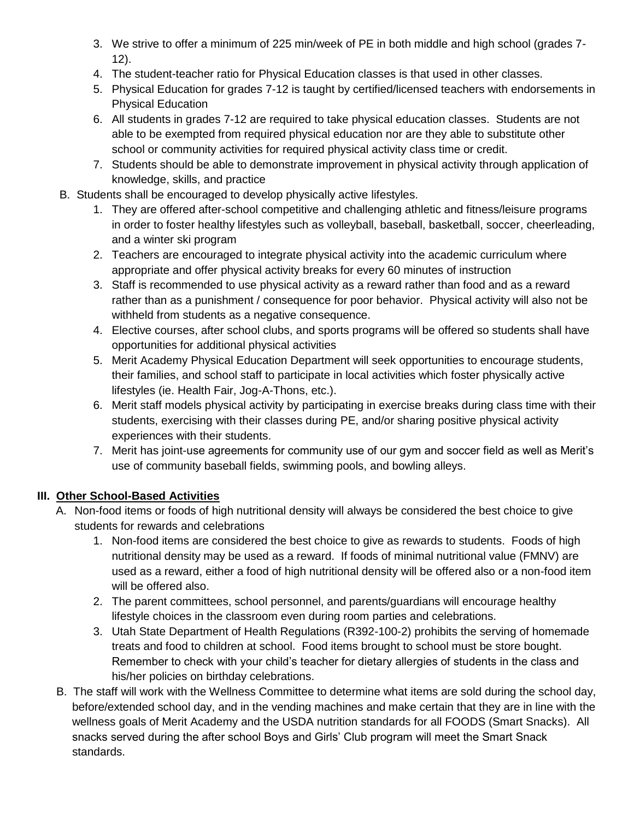- 3. We strive to offer a minimum of 225 min/week of PE in both middle and high school (grades 7- 12).
- 4. The student-teacher ratio for Physical Education classes is that used in other classes.
- 5. Physical Education for grades 7-12 is taught by certified/licensed teachers with endorsements in Physical Education
- 6. All students in grades 7-12 are required to take physical education classes. Students are not able to be exempted from required physical education nor are they able to substitute other school or community activities for required physical activity class time or credit.
- 7. Students should be able to demonstrate improvement in physical activity through application of knowledge, skills, and practice
- B. Students shall be encouraged to develop physically active lifestyles.
	- 1. They are offered after-school competitive and challenging athletic and fitness/leisure programs in order to foster healthy lifestyles such as volleyball, baseball, basketball, soccer, cheerleading, and a winter ski program
	- 2. Teachers are encouraged to integrate physical activity into the academic curriculum where appropriate and offer physical activity breaks for every 60 minutes of instruction
	- 3. Staff is recommended to use physical activity as a reward rather than food and as a reward rather than as a punishment / consequence for poor behavior. Physical activity will also not be withheld from students as a negative consequence.
	- 4. Elective courses, after school clubs, and sports programs will be offered so students shall have opportunities for additional physical activities
	- 5. Merit Academy Physical Education Department will seek opportunities to encourage students, their families, and school staff to participate in local activities which foster physically active lifestyles (ie. Health Fair, Jog-A-Thons, etc.).
	- 6. Merit staff models physical activity by participating in exercise breaks during class time with their students, exercising with their classes during PE, and/or sharing positive physical activity experiences with their students.
	- 7. Merit has joint-use agreements for community use of our gym and soccer field as well as Merit's use of community baseball fields, swimming pools, and bowling alleys.

#### **III. Other School-Based Activities**

- A. Non-food items or foods of high nutritional density will always be considered the best choice to give students for rewards and celebrations
	- 1. Non-food items are considered the best choice to give as rewards to students. Foods of high nutritional density may be used as a reward. If foods of minimal nutritional value (FMNV) are used as a reward, either a food of high nutritional density will be offered also or a non-food item will be offered also.
	- 2. The parent committees, school personnel, and parents/guardians will encourage healthy lifestyle choices in the classroom even during room parties and celebrations.
	- 3. Utah State Department of Health Regulations (R392-100-2) prohibits the serving of homemade treats and food to children at school. Food items brought to school must be store bought. Remember to check with your child's teacher for dietary allergies of students in the class and his/her policies on birthday celebrations.
- B. The staff will work with the Wellness Committee to determine what items are sold during the school day, before/extended school day, and in the vending machines and make certain that they are in line with the wellness goals of Merit Academy and the USDA nutrition standards for all FOODS (Smart Snacks). All snacks served during the after school Boys and Girls' Club program will meet the Smart Snack standards.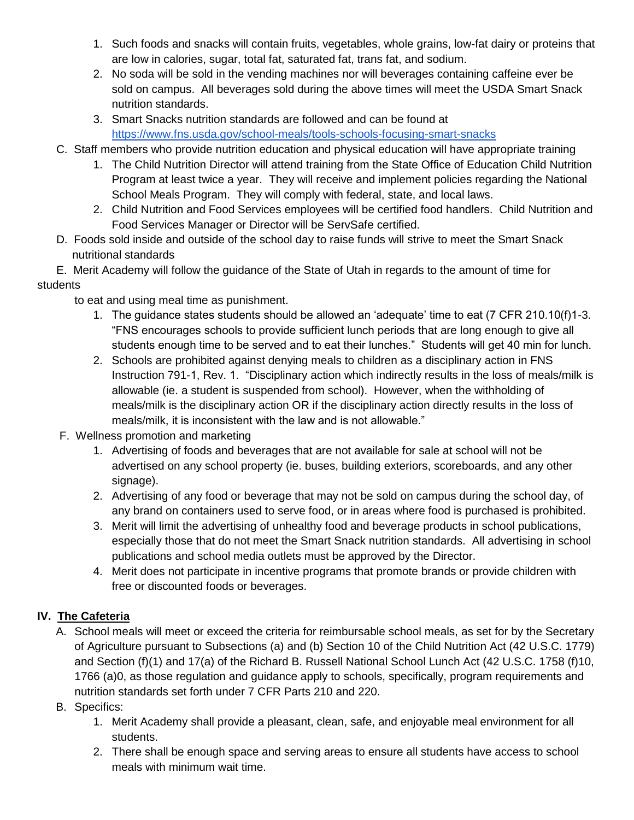- 1. Such foods and snacks will contain fruits, vegetables, whole grains, low-fat dairy or proteins that are low in calories, sugar, total fat, saturated fat, trans fat, and sodium.
- 2. No soda will be sold in the vending machines nor will beverages containing caffeine ever be sold on campus. All beverages sold during the above times will meet the USDA Smart Snack nutrition standards.
- 3. Smart Snacks nutrition standards are followed and can be found at <https://www.fns.usda.gov/school-meals/tools-schools-focusing-smart-snacks>
- C. Staff members who provide nutrition education and physical education will have appropriate training
	- 1. The Child Nutrition Director will attend training from the State Office of Education Child Nutrition Program at least twice a year. They will receive and implement policies regarding the National School Meals Program. They will comply with federal, state, and local laws.
	- 2. Child Nutrition and Food Services employees will be certified food handlers. Child Nutrition and Food Services Manager or Director will be ServSafe certified.
- D. Foods sold inside and outside of the school day to raise funds will strive to meet the Smart Snack nutritional standards

 E. Merit Academy will follow the guidance of the State of Utah in regards to the amount of time for students

to eat and using meal time as punishment.

- 1. The guidance states students should be allowed an 'adequate' time to eat (7 CFR 210.10(f)1-3. "FNS encourages schools to provide sufficient lunch periods that are long enough to give all students enough time to be served and to eat their lunches." Students will get 40 min for lunch.
- 2. Schools are prohibited against denying meals to children as a disciplinary action in FNS Instruction 791-1, Rev. 1. "Disciplinary action which indirectly results in the loss of meals/milk is allowable (ie. a student is suspended from school). However, when the withholding of meals/milk is the disciplinary action OR if the disciplinary action directly results in the loss of meals/milk, it is inconsistent with the law and is not allowable."
- F. Wellness promotion and marketing
	- 1. Advertising of foods and beverages that are not available for sale at school will not be advertised on any school property (ie. buses, building exteriors, scoreboards, and any other signage).
	- 2. Advertising of any food or beverage that may not be sold on campus during the school day, of any brand on containers used to serve food, or in areas where food is purchased is prohibited.
	- 3. Merit will limit the advertising of unhealthy food and beverage products in school publications, especially those that do not meet the Smart Snack nutrition standards. All advertising in school publications and school media outlets must be approved by the Director.
	- 4. Merit does not participate in incentive programs that promote brands or provide children with free or discounted foods or beverages.

#### **IV. The Cafeteria**

- A. School meals will meet or exceed the criteria for reimbursable school meals, as set for by the Secretary of Agriculture pursuant to Subsections (a) and (b) Section 10 of the Child Nutrition Act (42 U.S.C. 1779) and Section (f)(1) and 17(a) of the Richard B. Russell National School Lunch Act (42 U.S.C. 1758 (f)10, 1766 (a)0, as those regulation and guidance apply to schools, specifically, program requirements and nutrition standards set forth under 7 CFR Parts 210 and 220.
- B. Specifics:
	- 1. Merit Academy shall provide a pleasant, clean, safe, and enjoyable meal environment for all students.
	- 2. There shall be enough space and serving areas to ensure all students have access to school meals with minimum wait time.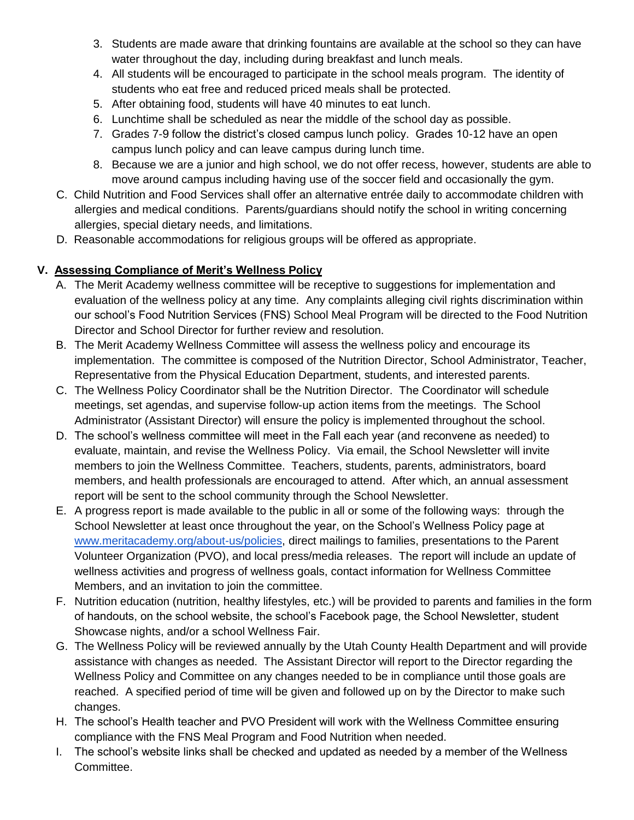- 3. Students are made aware that drinking fountains are available at the school so they can have water throughout the day, including during breakfast and lunch meals.
- 4. All students will be encouraged to participate in the school meals program. The identity of students who eat free and reduced priced meals shall be protected.
- 5. After obtaining food, students will have 40 minutes to eat lunch.
- 6. Lunchtime shall be scheduled as near the middle of the school day as possible.
- 7. Grades 7-9 follow the district's closed campus lunch policy. Grades 10-12 have an open campus lunch policy and can leave campus during lunch time.
- 8. Because we are a junior and high school, we do not offer recess, however, students are able to move around campus including having use of the soccer field and occasionally the gym.
- C. Child Nutrition and Food Services shall offer an alternative entrée daily to accommodate children with allergies and medical conditions. Parents/guardians should notify the school in writing concerning allergies, special dietary needs, and limitations.
- D. Reasonable accommodations for religious groups will be offered as appropriate.

## **V. Assessing Compliance of Merit's Wellness Policy**

- A. The Merit Academy wellness committee will be receptive to suggestions for implementation and evaluation of the wellness policy at any time. Any complaints alleging civil rights discrimination within our school's Food Nutrition Services (FNS) School Meal Program will be directed to the Food Nutrition Director and School Director for further review and resolution.
- B. The Merit Academy Wellness Committee will assess the wellness policy and encourage its implementation. The committee is composed of the Nutrition Director, School Administrator, Teacher, Representative from the Physical Education Department, students, and interested parents.
- C. The Wellness Policy Coordinator shall be the Nutrition Director. The Coordinator will schedule meetings, set agendas, and supervise follow-up action items from the meetings. The School Administrator (Assistant Director) will ensure the policy is implemented throughout the school.
- D. The school's wellness committee will meet in the Fall each year (and reconvene as needed) to evaluate, maintain, and revise the Wellness Policy. Via email, the School Newsletter will invite members to join the Wellness Committee. Teachers, students, parents, administrators, board members, and health professionals are encouraged to attend. After which, an annual assessment report will be sent to the school community through the School Newsletter.
- E. A progress report is made available to the public in all or some of the following ways: through the School Newsletter at least once throughout the year, on the School's Wellness Policy page at [www.meritacademy.org/about-us/policies,](http://www.meritacademy.org/about-us/policies) direct mailings to families, presentations to the Parent Volunteer Organization (PVO), and local press/media releases. The report will include an update of wellness activities and progress of wellness goals, contact information for Wellness Committee Members, and an invitation to join the committee.
- F. Nutrition education (nutrition, healthy lifestyles, etc.) will be provided to parents and families in the form of handouts, on the school website, the school's Facebook page, the School Newsletter, student Showcase nights, and/or a school Wellness Fair.
- G. The Wellness Policy will be reviewed annually by the Utah County Health Department and will provide assistance with changes as needed. The Assistant Director will report to the Director regarding the Wellness Policy and Committee on any changes needed to be in compliance until those goals are reached. A specified period of time will be given and followed up on by the Director to make such changes.
- H. The school's Health teacher and PVO President will work with the Wellness Committee ensuring compliance with the FNS Meal Program and Food Nutrition when needed.
- I. The school's website links shall be checked and updated as needed by a member of the Wellness Committee.